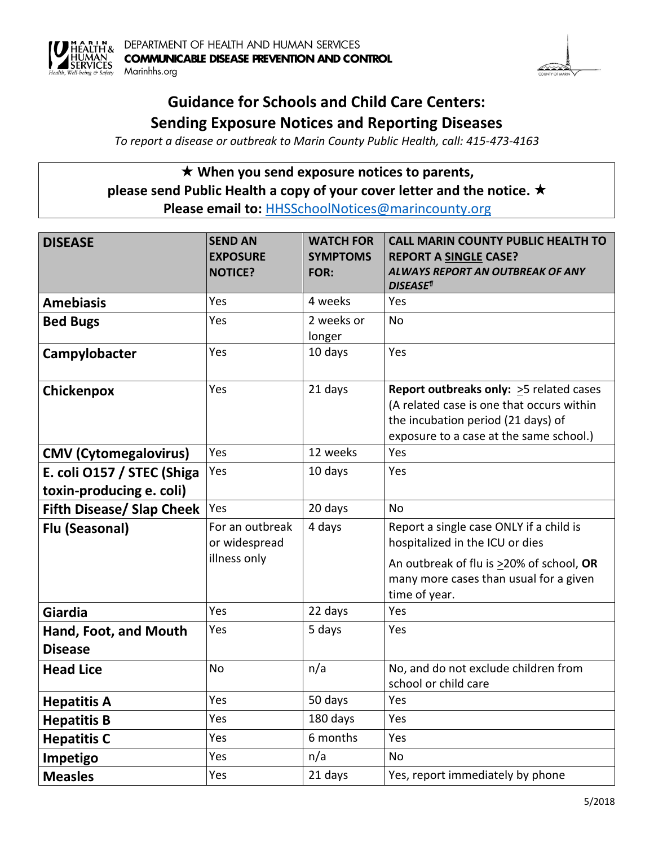

# **Guidance for Schools and Child Care Centers: Sending Exposure Notices and Reporting Diseases**

*To report a disease or outbreak to Marin County Public Health, call: 415-473-4163*

### **When you send exposure notices to parents, please send Public Health a copy of your cover letter and the notice. Please email to:** [HHSSchoolNotices@marincounty.org](mailto:HHSSchoolNotices@marincounty.org)

| <b>DISEASE</b>                                         | <b>SEND AN</b><br><b>EXPOSURE</b><br><b>NOTICE?</b> | <b>WATCH FOR</b><br><b>SYMPTOMS</b><br><b>FOR:</b> | <b>CALL MARIN COUNTY PUBLIC HEALTH TO</b><br><b>REPORT A SINGLE CASE?</b><br><b>ALWAYS REPORT AN OUTBREAK OF ANY</b><br><b>DISEASE<sup>¶</sup></b>                                |  |
|--------------------------------------------------------|-----------------------------------------------------|----------------------------------------------------|-----------------------------------------------------------------------------------------------------------------------------------------------------------------------------------|--|
| <b>Amebiasis</b>                                       | Yes                                                 | 4 weeks                                            | Yes                                                                                                                                                                               |  |
| <b>Bed Bugs</b>                                        | Yes                                                 | 2 weeks or<br>longer                               | <b>No</b>                                                                                                                                                                         |  |
| Campylobacter                                          | Yes                                                 | 10 days                                            | Yes                                                                                                                                                                               |  |
| Chickenpox                                             | Yes                                                 | 21 days                                            | Report outbreaks only: >5 related cases<br>(A related case is one that occurs within<br>the incubation period (21 days) of<br>exposure to a case at the same school.)             |  |
| <b>CMV (Cytomegalovirus)</b>                           | Yes                                                 | 12 weeks                                           | Yes                                                                                                                                                                               |  |
| E. coli O157 / STEC (Shiga<br>toxin-producing e. coli) | Yes                                                 | 10 days                                            | Yes                                                                                                                                                                               |  |
| <b>Fifth Disease/ Slap Cheek</b>                       | Yes                                                 | 20 days                                            | <b>No</b>                                                                                                                                                                         |  |
| Flu (Seasonal)                                         | For an outbreak<br>or widespread<br>illness only    | 4 days                                             | Report a single case ONLY if a child is<br>hospitalized in the ICU or dies<br>An outbreak of flu is >20% of school, OR<br>many more cases than usual for a given<br>time of year. |  |
| Giardia                                                | Yes                                                 | 22 days                                            | Yes                                                                                                                                                                               |  |
| Hand, Foot, and Mouth<br><b>Disease</b>                | Yes                                                 | 5 days                                             | Yes                                                                                                                                                                               |  |
| <b>Head Lice</b>                                       | <b>No</b>                                           | n/a                                                | No, and do not exclude children from<br>school or child care                                                                                                                      |  |
| <b>Hepatitis A</b>                                     | Yes                                                 | 50 days                                            | Yes                                                                                                                                                                               |  |
| <b>Hepatitis B</b>                                     | Yes                                                 | 180 days                                           | Yes                                                                                                                                                                               |  |
| <b>Hepatitis C</b>                                     | Yes                                                 | 6 months                                           | Yes                                                                                                                                                                               |  |
| Impetigo                                               | Yes                                                 | n/a                                                | <b>No</b>                                                                                                                                                                         |  |
| <b>Measles</b>                                         | Yes                                                 | 21 days                                            | Yes, report immediately by phone                                                                                                                                                  |  |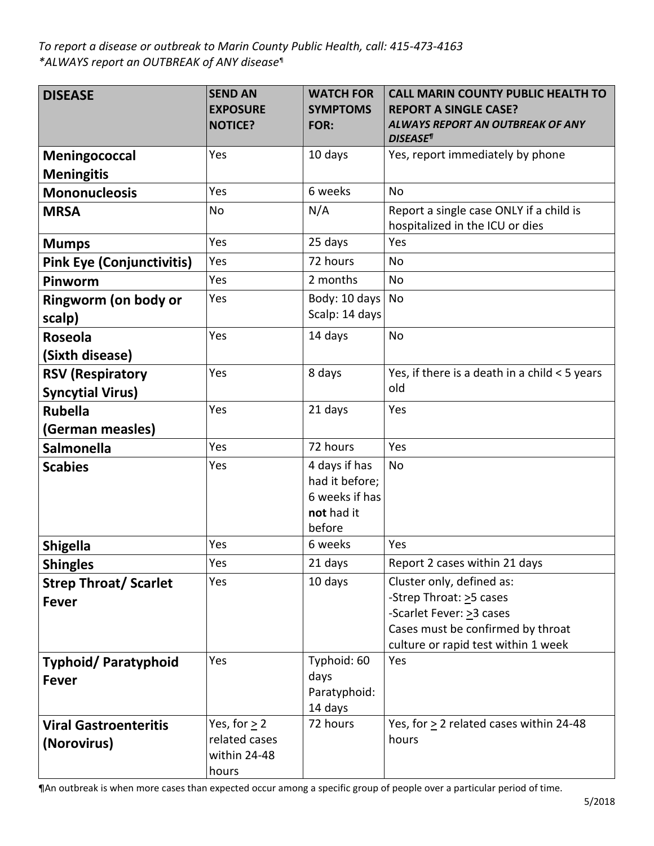*To report a disease or outbreak to Marin County Public Health, call: 415-473-4163 \*ALWAYS report an OUTBREAK of ANY disease*¶

| <b>DISEASE</b>                                     | <b>SEND AN</b><br><b>EXPOSURE</b><br><b>NOTICE?</b>         | <b>WATCH FOR</b><br><b>SYMPTOMS</b><br>FOR:                               | <b>CALL MARIN COUNTY PUBLIC HEALTH TO</b><br><b>REPORT A SINGLE CASE?</b><br>ALWAYS REPORT AN OUTBREAK OF ANY                                                  |  |  |
|----------------------------------------------------|-------------------------------------------------------------|---------------------------------------------------------------------------|----------------------------------------------------------------------------------------------------------------------------------------------------------------|--|--|
|                                                    |                                                             |                                                                           | <b>DISEASE<sup>¶</sup></b>                                                                                                                                     |  |  |
| Meningococcal<br><b>Meningitis</b>                 | Yes                                                         | 10 days                                                                   | Yes, report immediately by phone                                                                                                                               |  |  |
| <b>Mononucleosis</b>                               | Yes                                                         | 6 weeks                                                                   | <b>No</b>                                                                                                                                                      |  |  |
| <b>MRSA</b>                                        | No                                                          | N/A                                                                       | Report a single case ONLY if a child is<br>hospitalized in the ICU or dies                                                                                     |  |  |
| <b>Mumps</b>                                       | Yes                                                         | 25 days                                                                   | Yes                                                                                                                                                            |  |  |
| <b>Pink Eye (Conjunctivitis)</b>                   | Yes                                                         | 72 hours                                                                  | No                                                                                                                                                             |  |  |
| Pinworm                                            | Yes                                                         | 2 months                                                                  | <b>No</b>                                                                                                                                                      |  |  |
| Ringworm (on body or<br>scalp)                     | Yes                                                         | Body: 10 days<br>Scalp: 14 days                                           | No                                                                                                                                                             |  |  |
| <b>Roseola</b><br>(Sixth disease)                  | Yes                                                         | 14 days                                                                   | <b>No</b>                                                                                                                                                      |  |  |
| <b>RSV (Respiratory</b><br><b>Syncytial Virus)</b> | Yes                                                         | 8 days                                                                    | Yes, if there is a death in a child < 5 years<br>old                                                                                                           |  |  |
| <b>Rubella</b><br>(German measles)                 | Yes                                                         | 21 days                                                                   | Yes                                                                                                                                                            |  |  |
| <b>Salmonella</b>                                  | Yes                                                         | 72 hours                                                                  | Yes                                                                                                                                                            |  |  |
| <b>Scabies</b>                                     | Yes                                                         | 4 days if has<br>had it before;<br>6 weeks if has<br>not had it<br>before | No                                                                                                                                                             |  |  |
| <b>Shigella</b>                                    | Yes                                                         | 6 weeks                                                                   | Yes                                                                                                                                                            |  |  |
| <b>Shingles</b>                                    | Yes                                                         | 21 days                                                                   | Report 2 cases within 21 days                                                                                                                                  |  |  |
| <b>Strep Throat/ Scarlet</b><br><b>Fever</b>       | Yes                                                         | 10 days                                                                   | Cluster only, defined as:<br>-Strep Throat: > 5 cases<br>-Scarlet Fever: > 3 cases<br>Cases must be confirmed by throat<br>culture or rapid test within 1 week |  |  |
| <b>Typhoid/Paratyphoid</b><br><b>Fever</b>         | Yes                                                         | Typhoid: 60<br>days<br>Paratyphoid:<br>14 days                            | Yes                                                                                                                                                            |  |  |
| <b>Viral Gastroenteritis</b><br>(Norovirus)        | Yes, for $\geq$ 2<br>related cases<br>within 24-48<br>hours | 72 hours                                                                  | Yes, for $\geq$ 2 related cases within 24-48<br>hours                                                                                                          |  |  |

¶An outbreak is when more cases than expected occur among a specific group of people over a particular period of time.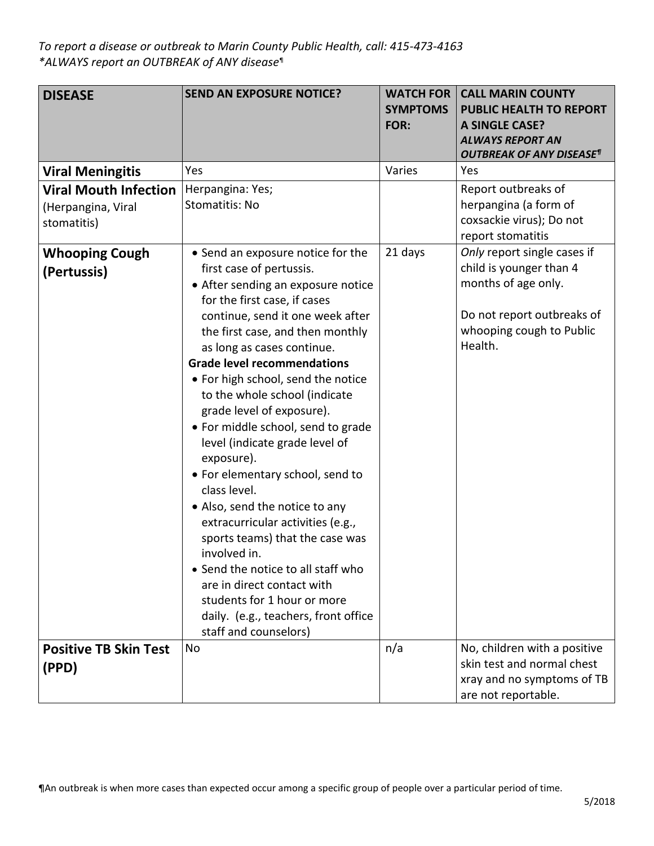| <b>DISEASE</b>                                                    | <b>SEND AN EXPOSURE NOTICE?</b>                                                                                                                                                                                                                                                                                                                                                                                                                                                                                                                                                                                                                                                                                                                                                                                             | <b>WATCH FOR</b><br><b>SYMPTOMS</b><br>FOR: | <b>CALL MARIN COUNTY</b><br><b>PUBLIC HEALTH TO REPORT</b><br><b>A SINGLE CASE?</b><br><b>ALWAYS REPORT AN</b><br><b>OUTBREAK OF ANY DISEASE<sup>¶</sup></b> |
|-------------------------------------------------------------------|-----------------------------------------------------------------------------------------------------------------------------------------------------------------------------------------------------------------------------------------------------------------------------------------------------------------------------------------------------------------------------------------------------------------------------------------------------------------------------------------------------------------------------------------------------------------------------------------------------------------------------------------------------------------------------------------------------------------------------------------------------------------------------------------------------------------------------|---------------------------------------------|--------------------------------------------------------------------------------------------------------------------------------------------------------------|
| <b>Viral Meningitis</b>                                           | Yes                                                                                                                                                                                                                                                                                                                                                                                                                                                                                                                                                                                                                                                                                                                                                                                                                         | Varies                                      | Yes                                                                                                                                                          |
| <b>Viral Mouth Infection</b><br>(Herpangina, Viral<br>stomatitis) | Herpangina: Yes;<br><b>Stomatitis: No</b>                                                                                                                                                                                                                                                                                                                                                                                                                                                                                                                                                                                                                                                                                                                                                                                   |                                             | Report outbreaks of<br>herpangina (a form of<br>coxsackie virus); Do not<br>report stomatitis                                                                |
| <b>Whooping Cough</b><br>(Pertussis)                              | • Send an exposure notice for the<br>first case of pertussis.<br>• After sending an exposure notice<br>for the first case, if cases<br>continue, send it one week after<br>the first case, and then monthly<br>as long as cases continue.<br><b>Grade level recommendations</b><br>• For high school, send the notice<br>to the whole school (indicate<br>grade level of exposure).<br>• For middle school, send to grade<br>level (indicate grade level of<br>exposure).<br>• For elementary school, send to<br>class level.<br>• Also, send the notice to any<br>extracurricular activities (e.g.,<br>sports teams) that the case was<br>involved in.<br>• Send the notice to all staff who<br>are in direct contact with<br>students for 1 hour or more<br>daily. (e.g., teachers, front office<br>staff and counselors) | 21 days                                     | Only report single cases if<br>child is younger than 4<br>months of age only.<br>Do not report outbreaks of<br>whooping cough to Public<br>Health.           |
| <b>Positive TB Skin Test</b><br>(PPD)                             | No                                                                                                                                                                                                                                                                                                                                                                                                                                                                                                                                                                                                                                                                                                                                                                                                                          | n/a                                         | No, children with a positive<br>skin test and normal chest<br>xray and no symptoms of TB<br>are not reportable.                                              |